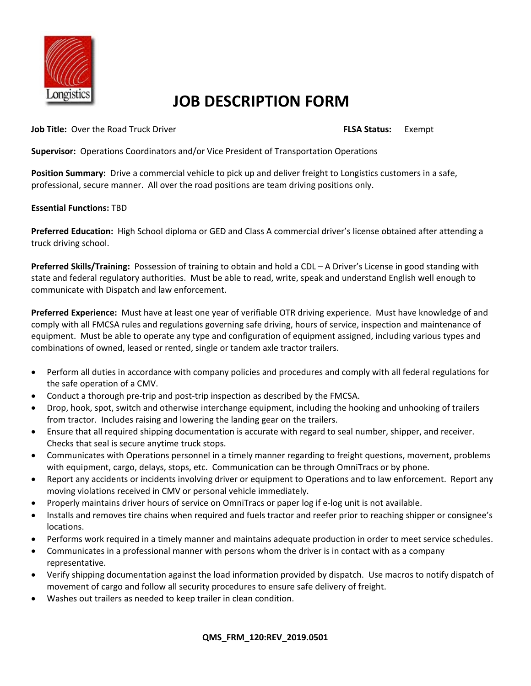

## **JOB DESCRIPTION FORM**

**Job Title:** Over the Road Truck Driver **FLSA Status:** Exempt

**Supervisor:** Operations Coordinators and/or Vice President of Transportation Operations

**Position Summary:** Drive a commercial vehicle to pick up and deliver freight to Longistics customers in a safe, professional, secure manner. All over the road positions are team driving positions only.

## **Essential Functions:** TBD

**Preferred Education:** High School diploma or GED and Class A commercial driver's license obtained after attending a truck driving school.

**Preferred Skills/Training:** Possession of training to obtain and hold a CDL – A Driver's License in good standing with state and federal regulatory authorities. Must be able to read, write, speak and understand English well enough to communicate with Dispatch and law enforcement.

**Preferred Experience:** Must have at least one year of verifiable OTR driving experience. Must have knowledge of and comply with all FMCSA rules and regulations governing safe driving, hours of service, inspection and maintenance of equipment. Must be able to operate any type and configuration of equipment assigned, including various types and combinations of owned, leased or rented, single or tandem axle tractor trailers.

- Perform all duties in accordance with company policies and procedures and comply with all federal regulations for the safe operation of a CMV.
- Conduct a thorough pre-trip and post-trip inspection as described by the FMCSA.
- Drop, hook, spot, switch and otherwise interchange equipment, including the hooking and unhooking of trailers from tractor. Includes raising and lowering the landing gear on the trailers.
- Ensure that all required shipping documentation is accurate with regard to seal number, shipper, and receiver. Checks that seal is secure anytime truck stops.
- Communicates with Operations personnel in a timely manner regarding to freight questions, movement, problems with equipment, cargo, delays, stops, etc. Communication can be through OmniTracs or by phone.
- Report any accidents or incidents involving driver or equipment to Operations and to law enforcement. Report any moving violations received in CMV or personal vehicle immediately.
- Properly maintains driver hours of service on OmniTracs or paper log if e-log unit is not available.
- Installs and removes tire chains when required and fuels tractor and reefer prior to reaching shipper or consignee's locations.
- Performs work required in a timely manner and maintains adequate production in order to meet service schedules.
- Communicates in a professional manner with persons whom the driver is in contact with as a company representative.
- Verify shipping documentation against the load information provided by dispatch. Use macros to notify dispatch of movement of cargo and follow all security procedures to ensure safe delivery of freight.
- Washes out trailers as needed to keep trailer in clean condition.

## **QMS\_FRM\_120:REV\_2019.0501**